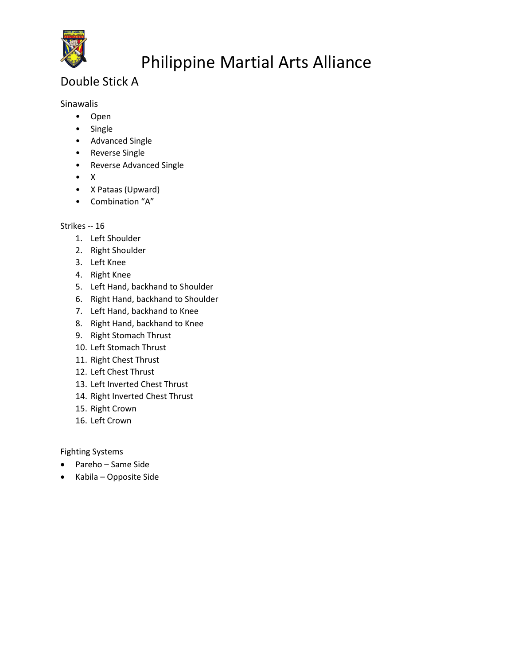

### Double Stick A

Sinawalis

- Open
- Single
- Advanced Single
- Reverse Single
- Reverse Advanced Single
- X
- X Pataas (Upward)
- Combination "A"

#### Strikes -- 16

- 1. Left Shoulder
- 2. Right Shoulder
- 3. Left Knee
- 4. Right Knee
- 5. Left Hand, backhand to Shoulder
- 6. Right Hand, backhand to Shoulder
- 7. Left Hand, backhand to Knee
- 8. Right Hand, backhand to Knee
- 9. Right Stomach Thrust
- 10. Left Stomach Thrust
- 11. Right Chest Thrust
- 12. Left Chest Thrust
- 13. Left Inverted Chest Thrust
- 14. Right Inverted Chest Thrust
- 15. Right Crown
- 16. Left Crown

Fighting Systems

- Pareho Same Side
- Kabila Opposite Side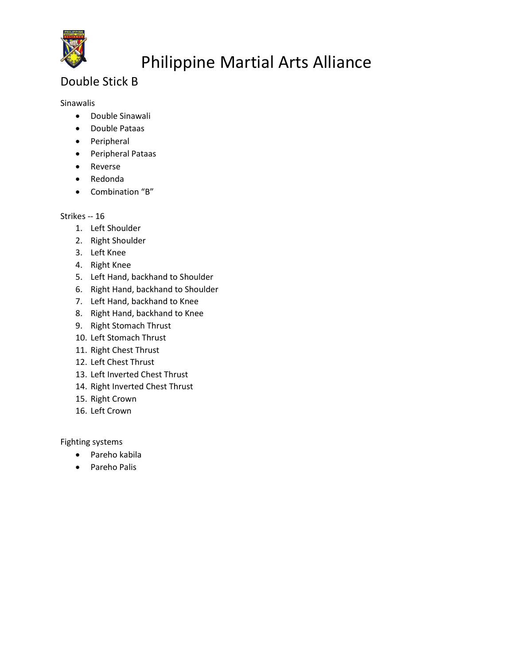

### Double Stick B

#### Sinawalis

- Double Sinawali
- Double Pataas
- Peripheral
- Peripheral Pataas
- Reverse
- Redonda
- Combination "B"

#### Strikes -- 16

- 1. Left Shoulder
- 2. Right Shoulder
- 3. Left Knee
- 4. Right Knee
- 5. Left Hand, backhand to Shoulder
- 6. Right Hand, backhand to Shoulder
- 7. Left Hand, backhand to Knee
- 8. Right Hand, backhand to Knee
- 9. Right Stomach Thrust
- 10. Left Stomach Thrust
- 11. Right Chest Thrust
- 12. Left Chest Thrust
- 13. Left Inverted Chest Thrust
- 14. Right Inverted Chest Thrust
- 15. Right Crown
- 16. Left Crown

Fighting systems

- Pareho kabila
- Pareho Palis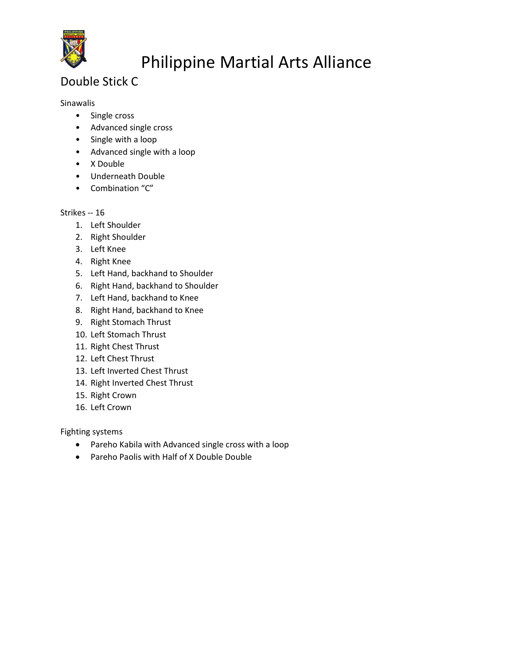

### Double Stick C

#### Sinawalis

- Single cross
- Advanced single cross
- Single with a loop
- Advanced single with a loop
- X Double
- Underneath Double
- Combination "C"

#### Strikes -- 16

- 1. Left Shoulder
- 2. Right Shoulder
- 3. Left Knee
- 4. Right Knee
- 5. Left Hand, backhand to Shoulder
- 6. Right Hand, backhand to Shoulder
- 7. Left Hand, backhand to Knee
- 8. Right Hand, backhand to Knee
- 9. Right Stomach Thrust
- 10. Left Stomach Thrust
- 11. Right Chest Thrust
- 12. Left Chest Thrust
- 13. Left Inverted Chest Thrust
- 14. Right Inverted Chest Thrust
- 15. Right Crown
- 16. Left Crown

Fighting systems

- Pareho Kabila with Advanced single cross with a loop
- Pareho Paolis with Half of X Double Double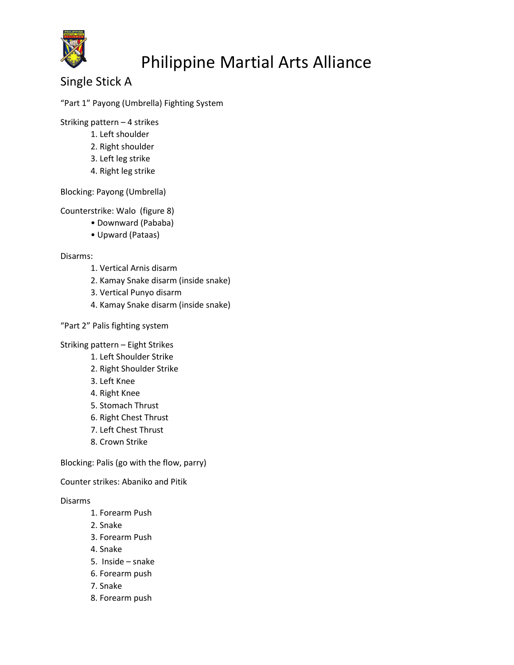

Single Stick A

#### "Part 1" Payong (Umbrella) Fighting System

Striking pattern – 4 strikes

- 1. Left shoulder
- 2. Right shoulder
- 3. Left leg strike
- 4. Right leg strike

Blocking: Payong (Umbrella)

Counterstrike: Walo (figure 8)

- Downward (Pababa)
- Upward (Pataas)

#### Disarms:

- 1. Vertical Arnis disarm
- 2. Kamay Snake disarm (inside snake)
- 3. Vertical Punyo disarm
- 4. Kamay Snake disarm (inside snake)

#### "Part 2" Palis fighting system

Striking pattern – Eight Strikes

- 1. Left Shoulder Strike
- 2. Right Shoulder Strike
- 3. Left Knee
- 4. Right Knee
- 5. Stomach Thrust
- 6. Right Chest Thrust
- 7. Left Chest Thrust
- 8. Crown Strike

Blocking: Palis (go with the flow, parry)

Counter strikes: Abaniko and Pitik

#### Disarms

- 1. Forearm Push
- 2. Snake
- 3. Forearm Push
- 4. Snake
- 5. Inside snake
- 6. Forearm push
- 7. Snake
- 8. Forearm push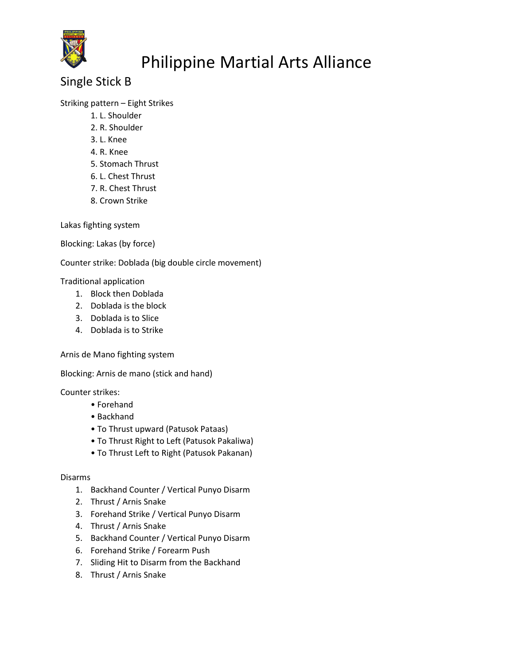

### Single Stick B

#### Striking pattern – Eight Strikes

- 1. L. Shoulder
- 2. R. Shoulder
- 3. L. Knee
- 4. R. Knee
- 5. Stomach Thrust
- 6. L. Chest Thrust
- 7. R. Chest Thrust
- 8. Crown Strike

Lakas fighting system

Blocking: Lakas (by force)

Counter strike: Doblada (big double circle movement)

Traditional application

- 1. Block then Doblada
- 2. Doblada is the block
- 3. Doblada is to Slice
- 4. Doblada is to Strike

Arnis de Mano fighting system

Blocking: Arnis de mano (stick and hand)

Counter strikes:

- Forehand
- Backhand
- To Thrust upward (Patusok Pataas)
- To Thrust Right to Left (Patusok Pakaliwa)
- To Thrust Left to Right (Patusok Pakanan)

#### Disarms

- 1. Backhand Counter / Vertical Punyo Disarm
- 2. Thrust / Arnis Snake
- 3. Forehand Strike / Vertical Punyo Disarm
- 4. Thrust / Arnis Snake
- 5. Backhand Counter / Vertical Punyo Disarm
- 6. Forehand Strike / Forearm Push
- 7. Sliding Hit to Disarm from the Backhand
- 8. Thrust / Arnis Snake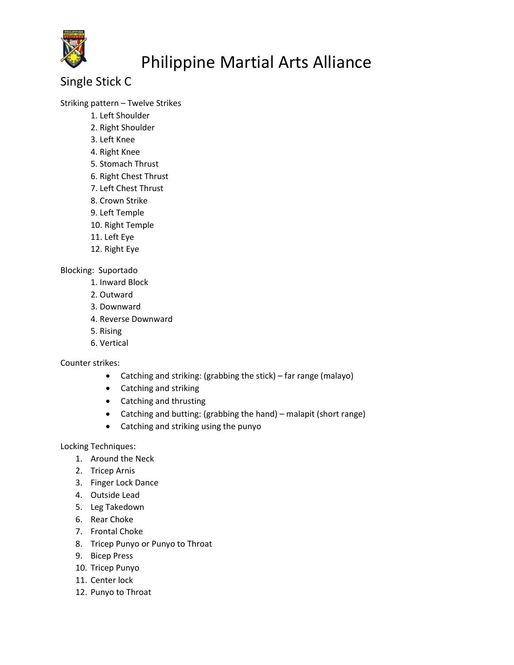

### Single Stick C

#### Striking pattern – Twelve Strikes

- 1. Left Shoulder
- 2. Right Shoulder
- 3. Left Knee
- 4. Right Knee
- 5. Stomach Thrust
- 6. Right Chest Thrust
- 7. Left Chest Thrust
- 8. Crown Strike
- 9. Left Temple
- 10. Right Temple
- 11. Left Eye
- 12. Right Eye

#### Blocking: Suportado

- 1. Inward Block
- 2. Outward
- 3. Downward
- 4. Reverse Downward
- 5. Rising
- 6. Vertical

#### Counter strikes:

- Catching and striking: (grabbing the stick) far range (malayo)
- Catching and striking
- Catching and thrusting
- Catching and butting: (grabbing the hand) malapit (short range)
- Catching and striking using the punyo

Locking Techniques:

- 1. Around the Neck
- 2. Tricep Arnis
- 3. Finger Lock Dance
- 4. Outside Lead
- 5. Leg Takedown
- 6. Rear Choke
- 7. Frontal Choke
- 8. Tricep Punyo or Punyo to Throat
- 9. Bicep Press
- 10. Tricep Punyo
- 11. Center lock
- 12. Punyo to Throat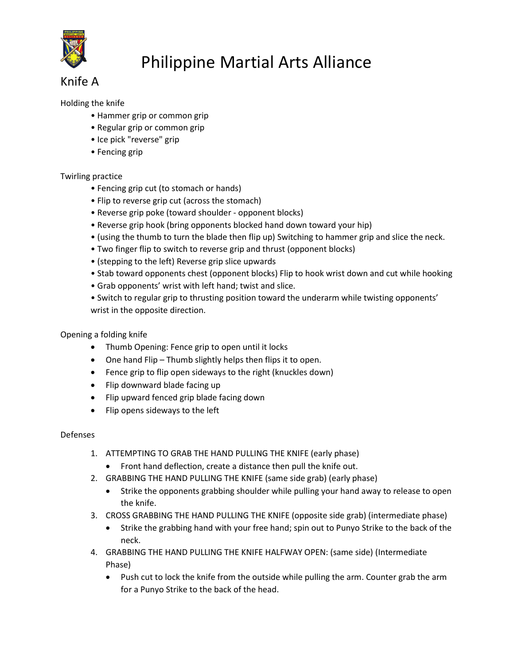

### Knife A

#### Holding the knife

- Hammer grip or common grip
- Regular grip or common grip
- Ice pick "reverse" grip
- Fencing grip

#### Twirling practice

- Fencing grip cut (to stomach or hands)
- Flip to reverse grip cut (across the stomach)
- Reverse grip poke (toward shoulder opponent blocks)
- Reverse grip hook (bring opponents blocked hand down toward your hip)
- (using the thumb to turn the blade then flip up) Switching to hammer grip and slice the neck.
- Two finger flip to switch to reverse grip and thrust (opponent blocks)
- (stepping to the left) Reverse grip slice upwards
- Stab toward opponents chest (opponent blocks) Flip to hook wrist down and cut while hooking
- Grab opponents' wrist with left hand; twist and slice.
- Switch to regular grip to thrusting position toward the underarm while twisting opponents' wrist in the opposite direction.

#### Opening a folding knife

- Thumb Opening: Fence grip to open until it locks
- One hand Flip Thumb slightly helps then flips it to open.
- Fence grip to flip open sideways to the right (knuckles down)
- Flip downward blade facing up
- Flip upward fenced grip blade facing down
- Flip opens sideways to the left

#### Defenses

- 1. ATTEMPTING TO GRAB THE HAND PULLING THE KNIFE (early phase)
	- Front hand deflection, create a distance then pull the knife out.
- 2. GRABBING THE HAND PULLING THE KNIFE (same side grab) (early phase)
	- Strike the opponents grabbing shoulder while pulling your hand away to release to open the knife.
- 3. CROSS GRABBING THE HAND PULLING THE KNIFE (opposite side grab) (intermediate phase)
	- Strike the grabbing hand with your free hand; spin out to Punyo Strike to the back of the neck.
- 4. GRABBING THE HAND PULLING THE KNIFE HALFWAY OPEN: (same side) (Intermediate Phase)
	- Push cut to lock the knife from the outside while pulling the arm. Counter grab the arm for a Punyo Strike to the back of the head.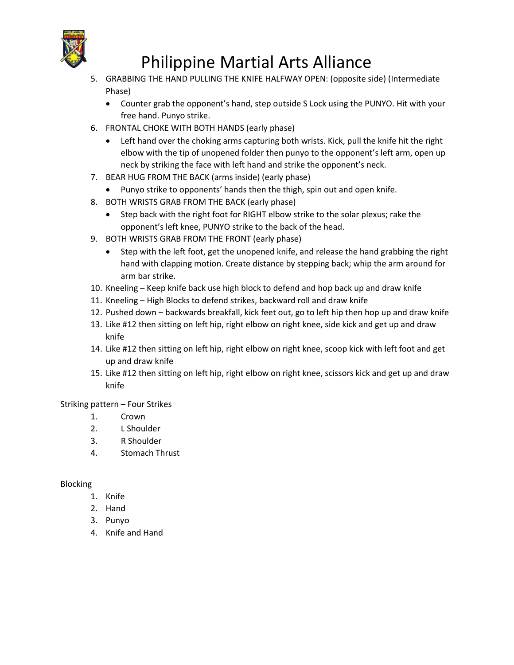

- 5. GRABBING THE HAND PULLING THE KNIFE HALFWAY OPEN: (opposite side) (Intermediate Phase)
	- Counter grab the opponent's hand, step outside S Lock using the PUNYO. Hit with your free hand. Punyo strike.
- 6. FRONTAL CHOKE WITH BOTH HANDS (early phase)
	- Left hand over the choking arms capturing both wrists. Kick, pull the knife hit the right elbow with the tip of unopened folder then punyo to the opponent's left arm, open up neck by striking the face with left hand and strike the opponent's neck.
- 7. BEAR HUG FROM THE BACK (arms inside) (early phase)
	- Punyo strike to opponents' hands then the thigh, spin out and open knife.
- 8. BOTH WRISTS GRAB FROM THE BACK (early phase)
	- Step back with the right foot for RIGHT elbow strike to the solar plexus; rake the opponent's left knee, PUNYO strike to the back of the head.
- 9. BOTH WRISTS GRAB FROM THE FRONT (early phase)
	- Step with the left foot, get the unopened knife, and release the hand grabbing the right hand with clapping motion. Create distance by stepping back; whip the arm around for arm bar strike.
- 10. Kneeling Keep knife back use high block to defend and hop back up and draw knife
- 11. Kneeling High Blocks to defend strikes, backward roll and draw knife
- 12. Pushed down backwards breakfall, kick feet out, go to left hip then hop up and draw knife
- 13. Like #12 then sitting on left hip, right elbow on right knee, side kick and get up and draw knife
- 14. Like #12 then sitting on left hip, right elbow on right knee, scoop kick with left foot and get up and draw knife
- 15. Like #12 then sitting on left hip, right elbow on right knee, scissors kick and get up and draw knife

Striking pattern – Four Strikes

- 1. Crown
- 2. L Shoulder
- 3. R Shoulder
- 4. Stomach Thrust

#### Blocking

- 1. Knife
- 2. Hand
- 3. Punyo
- 4. Knife and Hand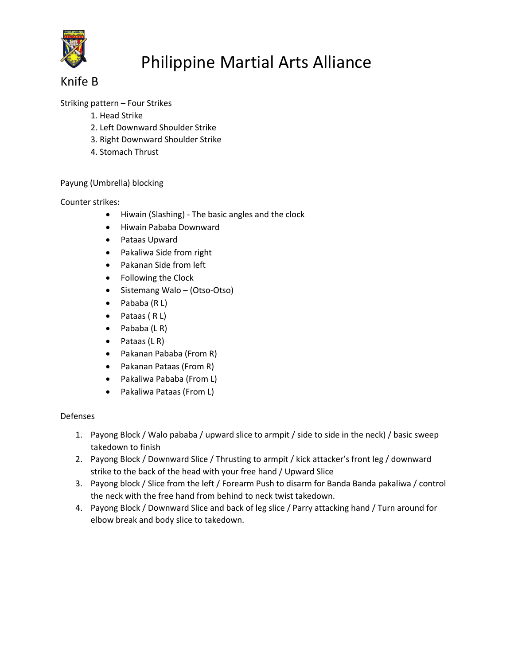

### Knife B

#### Striking pattern – Four Strikes

- 1. Head Strike
- 2. Left Downward Shoulder Strike
- 3. Right Downward Shoulder Strike
- 4. Stomach Thrust

#### Payung (Umbrella) blocking

#### Counter strikes:

- Hiwain (Slashing) The basic angles and the clock
- Hiwain Pababa Downward
- Pataas Upward
- Pakaliwa Side from right
- Pakanan Side from left
- Following the Clock
- Sistemang Walo (Otso-Otso)
- Pababa (R L)
- $\bullet$  Pataas (RL)
- $\bullet$  Pababa (LR)
- $\bullet$  Pataas (LR)
- Pakanan Pababa (From R)
- Pakanan Pataas (From R)
- Pakaliwa Pababa (From L)
- Pakaliwa Pataas (From L)

#### Defenses

- 1. Payong Block / Walo pababa / upward slice to armpit / side to side in the neck) / basic sweep takedown to finish
- 2. Payong Block / Downward Slice / Thrusting to armpit / kick attacker's front leg / downward strike to the back of the head with your free hand / Upward Slice
- 3. Payong block / Slice from the left / Forearm Push to disarm for Banda Banda pakaliwa / control the neck with the free hand from behind to neck twist takedown.
- 4. Payong Block / Downward Slice and back of leg slice / Parry attacking hand / Turn around for elbow break and body slice to takedown.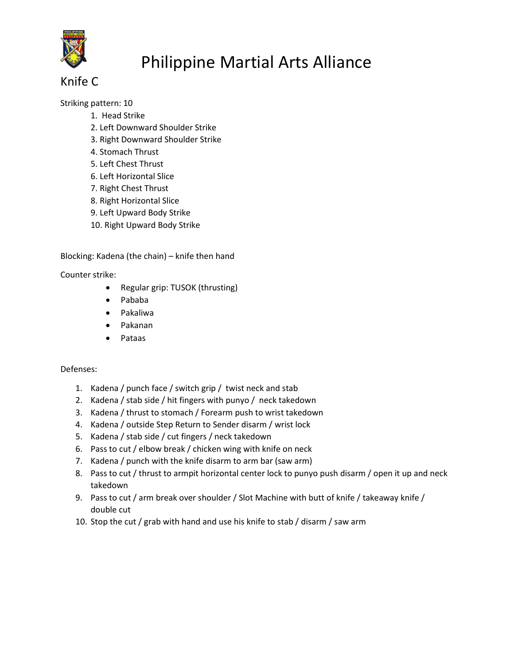

### Knife C

Striking pattern: 10

- 1. Head Strike
- 2. Left Downward Shoulder Strike
- 3. Right Downward Shoulder Strike
- 4. Stomach Thrust
- 5. Left Chest Thrust
- 6. Left Horizontal Slice
- 7. Right Chest Thrust
- 8. Right Horizontal Slice
- 9. Left Upward Body Strike
- 10. Right Upward Body Strike

Blocking: Kadena (the chain) – knife then hand

Counter strike:

- Regular grip: TUSOK (thrusting)
- Pababa
- Pakaliwa
- Pakanan
- Pataas

#### Defenses:

- 1. Kadena / punch face / switch grip / twist neck and stab
- 2. Kadena / stab side / hit fingers with punyo / neck takedown
- 3. Kadena / thrust to stomach / Forearm push to wrist takedown
- 4. Kadena / outside Step Return to Sender disarm / wrist lock
- 5. Kadena / stab side / cut fingers / neck takedown
- 6. Pass to cut / elbow break / chicken wing with knife on neck
- 7. Kadena / punch with the knife disarm to arm bar (saw arm)
- 8. Pass to cut / thrust to armpit horizontal center lock to punyo push disarm / open it up and neck takedown
- 9. Pass to cut / arm break over shoulder / Slot Machine with butt of knife / takeaway knife / double cut
- 10. Stop the cut / grab with hand and use his knife to stab / disarm / saw arm